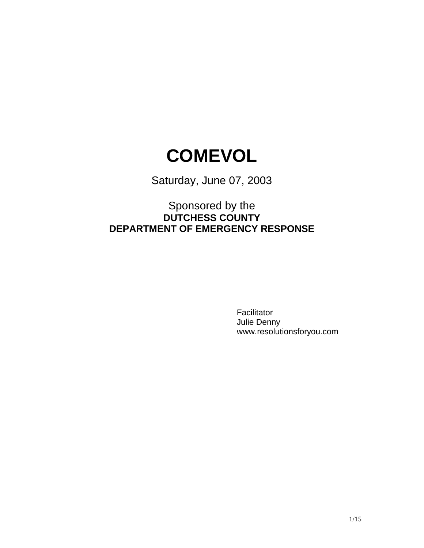# **COMEVOL**

Saturday, June 07, 2003

## Sponsored by the **DUTCHESS COUNTY DEPARTMENT OF EMERGENCY RESPONSE**

Facilitator Julie Denny www.resolutionsforyou.com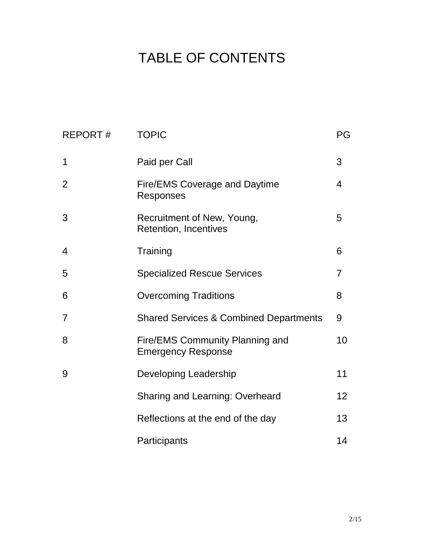# TABLE OF CONTENTS

| <b>REPORT#</b> | <b>TOPIC</b>                                                        | PG                |
|----------------|---------------------------------------------------------------------|-------------------|
| 1              | Paid per Call                                                       | 3                 |
| 2              | <b>Fire/EMS Coverage and Daytime</b><br><b>Responses</b>            | 4                 |
| 3              | Recruitment of New, Young,<br><b>Retention, Incentives</b>          | 5                 |
| 4              | Training                                                            | 6                 |
| 5              | <b>Specialized Rescue Services</b>                                  | 7                 |
| 6              | <b>Overcoming Traditions</b>                                        | 8                 |
| 7              | <b>Shared Services &amp; Combined Departments</b>                   | 9                 |
| 8              | <b>Fire/EMS Community Planning and</b><br><b>Emergency Response</b> | 10                |
| 9              | Developing Leadership                                               | 11                |
|                | <b>Sharing and Learning: Overheard</b>                              | $12 \overline{ }$ |
|                | Reflections at the end of the day                                   | 13                |
|                | Participants                                                        | 14                |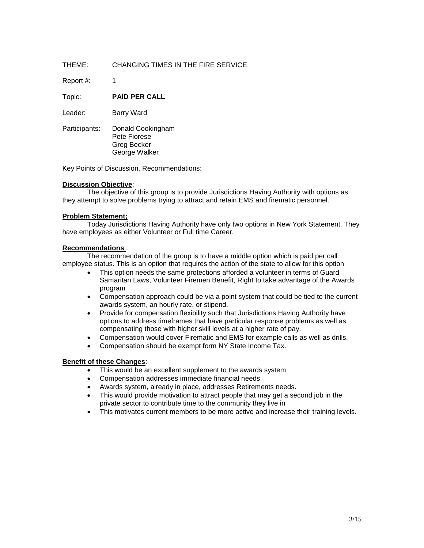Report #: 1

Topic: **PAID PER CALL**

Leader: **Barry Ward** 

Participants: Donald Cookingham Pete Fiorese Greg Becker George Walker

Key Points of Discussion, Recommendations:

#### **Discussion Objective**;

The objective of this group is to provide Jurisdictions Having Authority with options as they attempt to solve problems trying to attract and retain EMS and firematic personnel.

#### **Problem Statement;**

Today Jurisdictions Having Authority have only two options in New York Statement. They have employees as either Volunteer or Full time Career.

#### **Recommendations** :

The recommendation of the group is to have a middle option which is paid per call employee status. This is an option that requires the action of the state to allow for this option

- This option needs the same protections afforded a volunteer in terms of Guard Samaritan Laws, Volunteer Firemen Benefit, Right to take advantage of the Awards program
- Compensation approach could be via a point system that could be tied to the current awards system, an hourly rate, or stipend.
- Provide for compensation flexibility such that Jurisdictions Having Authority have options to address timeframes that have particular response problems as well as compensating those with higher skill levels at a higher rate of pay.
- Compensation would cover Firematic and EMS for example calls as well as drills.
- Compensation should be exempt form NY State Income Tax.

#### **Benefit of these Changes**:

- This would be an excellent supplement to the awards system
- Compensation addresses immediate financial needs
- Awards system, already in place, addresses Retirements needs.
- This would provide motivation to attract people that may get a second job in the private sector to contribute time to the community they live in
- This motivates current members to be more active and increase their training levels.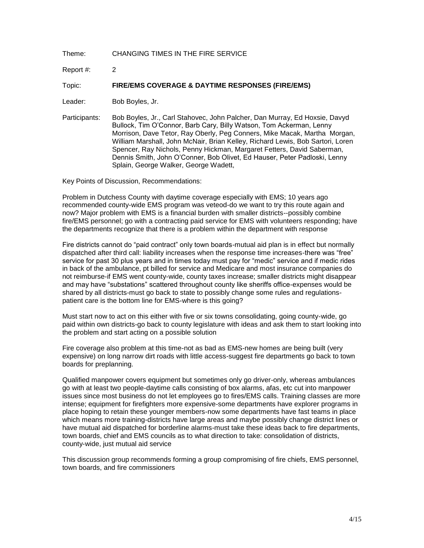Report #: 2

Topic: **FIRE/EMS COVERAGE & DAYTIME RESPONSES (FIRE/EMS)**

Leader: Bob Boyles, Jr.

Participants: Bob Boyles, Jr., Carl Stahovec, John Palcher, Dan Murray, Ed Hoxsie, Davyd Bullock, Tim O'Connor, Barb Cary, Billy Watson, Tom Ackerman, Lenny Morrison, Dave Tetor, Ray Oberly, Peg Conners, Mike Macak, Martha Morgan, William Marshall, John McNair, Brian Kelley, Richard Lewis, Bob Sartori, Loren Spencer, Ray Nichols, Penny Hickman, Margaret Fetters, David Saberman, Dennis Smith, John O'Conner, Bob Olivet, Ed Hauser, Peter Padloski, Lenny Splain, George Walker, George Wadett,

Key Points of Discussion, Recommendations:

Problem in Dutchess County with daytime coverage especially with EMS; 10 years ago recommended county-wide EMS program was veteod-do we want to try this route again and now? Major problem with EMS is a financial burden with smaller districts--possibly combine fire/EMS personnel; go with a contracting paid service for EMS with volunteers responding; have the departments recognize that there is a problem within the department with response

Fire districts cannot do "paid contract" only town boards-mutual aid plan is in effect but normally dispatched after third call: liability increases when the response time increases-there was "free" service for past 30 plus years and in times today must pay for "medic" service and if medic rides in back of the ambulance, pt billed for service and Medicare and most insurance companies do not reimburse-if EMS went county-wide, county taxes increase; smaller districts might disappear and may have "substations" scattered throughout county like sheriffs office-expenses would be shared by all districts-must go back to state to possibly change some rules and regulationspatient care is the bottom line for EMS-where is this going?

Must start now to act on this either with five or six towns consolidating, going county-wide, go paid within own districts-go back to county legislature with ideas and ask them to start looking into the problem and start acting on a possible solution

Fire coverage also problem at this time-not as bad as EMS-new homes are being built (very expensive) on long narrow dirt roads with little access-suggest fire departments go back to town boards for preplanning.

Qualified manpower covers equipment but sometimes only go driver-only, whereas ambulances go with at least two people-daytime calls consisting of box alarms, afas, etc cut into manpower issues since most business do not let employees go to fires/EMS calls. Training classes are more intense; equipment for firefighters more expensive-some departments have explorer programs in place hoping to retain these younger members-now some departments have fast teams in place which means more training-districts have large areas and maybe possibly change district lines or have mutual aid dispatched for borderline alarms-must take these ideas back to fire departments, town boards, chief and EMS councils as to what direction to take: consolidation of districts, county-wide, just mutual aid service

This discussion group recommends forming a group compromising of fire chiefs, EMS personnel, town boards, and fire commissioners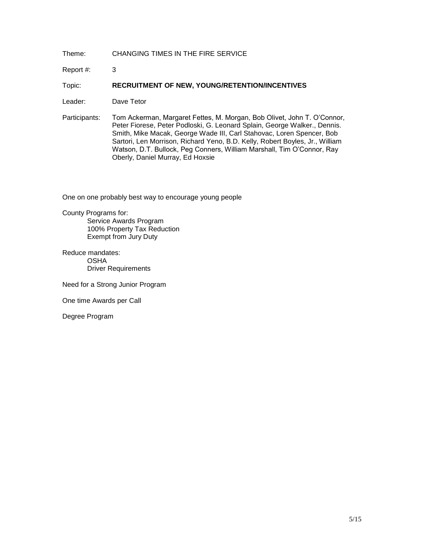Report #: 3

Topic: **RECRUITMENT OF NEW, YOUNG/RETENTION/INCENTIVES**

Leader: Dave Tetor

Participants: Tom Ackerman, Margaret Fettes, M. Morgan, Bob Olivet, John T. O'Connor, Peter Fiorese, Peter Podloski, G. Leonard Splain, George Walker., Dennis. Smith, Mike Macak, George Wade III, Carl Stahovac, Loren Spencer, Bob Sartori, Len Morrison, Richard Yeno, B.D. Kelly, Robert Boyles, Jr., William Watson, D.T. Bullock, Peg Conners, William Marshall, Tim O'Connor, Ray Oberly, Daniel Murray, Ed Hoxsie

One on one probably best way to encourage young people

County Programs for: Service Awards Program 100% Property Tax Reduction Exempt from Jury Duty

Reduce mandates: OSHA Driver Requirements

Need for a Strong Junior Program

One time Awards per Call

Degree Program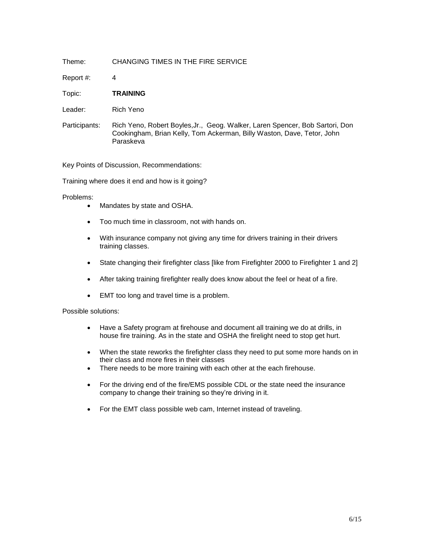Report #: 4

Topic: **TRAINING**

Leader: Rich Yeno

Participants: Rich Yeno, Robert Boyles,Jr., Geog. Walker, Laren Spencer, Bob Sartori, Don Cookingham, Brian Kelly, Tom Ackerman, Billy Waston, Dave, Tetor, John Paraskeva

Key Points of Discussion, Recommendations:

Training where does it end and how is it going?

Problems:

- Mandates by state and OSHA.
- Too much time in classroom, not with hands on.
- With insurance company not giving any time for drivers training in their drivers training classes.
- State changing their firefighter class [like from Firefighter 2000 to Firefighter 1 and 2]
- After taking training firefighter really does know about the feel or heat of a fire.
- EMT too long and travel time is a problem.

Possible solutions:

- Have a Safety program at firehouse and document all training we do at drills, in house fire training. As in the state and OSHA the firelight need to stop get hurt.
- When the state reworks the firefighter class they need to put some more hands on in their class and more fires in their classes
- There needs to be more training with each other at the each firehouse.
- For the driving end of the fire/EMS possible CDL or the state need the insurance company to change their training so they're driving in it.
- For the EMT class possible web cam, Internet instead of traveling.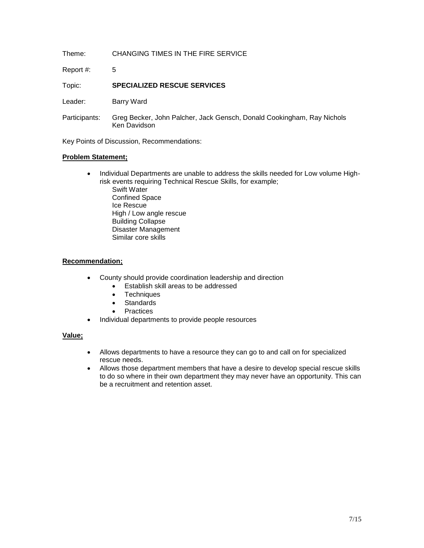Report #: 5

Topic: **SPECIALIZED RESCUE SERVICES**

Leader: **Barry Ward** 

Participants: Greg Becker, John Palcher, Jack Gensch, Donald Cookingham, Ray Nichols Ken Davidson

Key Points of Discussion, Recommendations:

#### **Problem Statement;**

• Individual Departments are unable to address the skills needed for Low volume Highrisk events requiring Technical Rescue Skills, for example;

Swift Water Confined Space Ice Rescue High / Low angle rescue Building Collapse Disaster Management Similar core skills

#### **Recommendation;**

- County should provide coordination leadership and direction
	- Establish skill areas to be addressed
	- Techniques
	- Standards
	- **Practices**
- Individual departments to provide people resources

### **Value;**

- Allows departments to have a resource they can go to and call on for specialized rescue needs.
- Allows those department members that have a desire to develop special rescue skills to do so where in their own department they may never have an opportunity. This can be a recruitment and retention asset.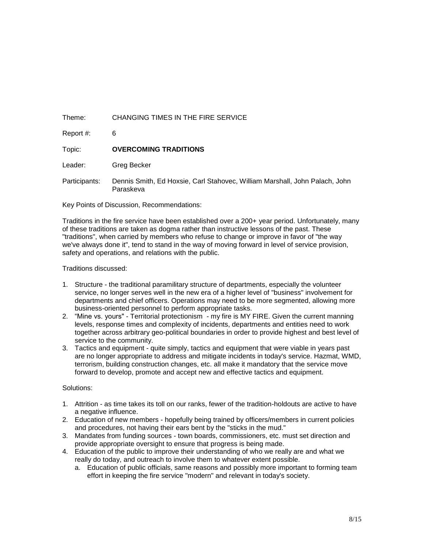Report #: 6

Topic: **OVERCOMING TRADITIONS**

Leader: Greg Becker

Participants: Dennis Smith, Ed Hoxsie, Carl Stahovec, William Marshall, John Palach, John Paraskeva

Key Points of Discussion, Recommendations:

Traditions in the fire service have been established over a 200+ year period. Unfortunately, many of these traditions are taken as dogma rather than instructive lessons of the past. These "traditions", when carried by members who refuse to change or improve in favor of "the way we've always done it", tend to stand in the way of moving forward in level of service provision, safety and operations, and relations with the public.

Traditions discussed:

- 1. Structure the traditional paramilitary structure of departments, especially the volunteer service, no longer serves well in the new era of a higher level of "business" involvement for departments and chief officers. Operations may need to be more segmented, allowing more business-oriented personnel to perform appropriate tasks.
- 2. "Mine vs. yours" Territorial protectionism my fire is MY FIRE. Given the current manning levels, response times and complexity of incidents, departments and entities need to work together across arbitrary geo-political boundaries in order to provide highest and best level of service to the community.
- 3. Tactics and equipment quite simply, tactics and equipment that were viable in years past are no longer appropriate to address and mitigate incidents in today's service. Hazmat, WMD, terrorism, building construction changes, etc. all make it mandatory that the service move forward to develop, promote and accept new and effective tactics and equipment.

#### Solutions:

- 1. Attrition as time takes its toll on our ranks, fewer of the tradition-holdouts are active to have a negative influence.
- 2. Education of new members hopefully being trained by officers/members in current policies and procedures, not having their ears bent by the "sticks in the mud."
- 3. Mandates from funding sources town boards, commissioners, etc. must set direction and provide appropriate oversight to ensure that progress is being made.
- 4. Education of the public to improve their understanding of who we really are and what we really do today, and outreach to involve them to whatever extent possible.
	- a. Education of public officials, same reasons and possibly more important to forming team effort in keeping the fire service "modern" and relevant in today's society.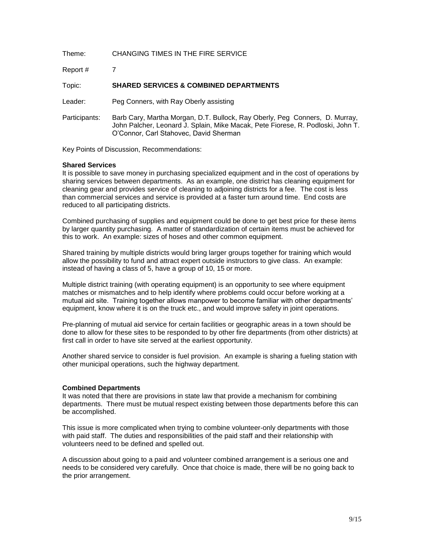| Theme:        | CHANGING TIMES IN THE FIRE SERVICE                                                                                                                                                                       |
|---------------|----------------------------------------------------------------------------------------------------------------------------------------------------------------------------------------------------------|
| Report #      |                                                                                                                                                                                                          |
| Topic:        | <b>SHARED SERVICES &amp; COMBINED DEPARTMENTS</b>                                                                                                                                                        |
| Leader:       | Peg Conners, with Ray Oberly assisting                                                                                                                                                                   |
| Participants: | Barb Cary, Martha Morgan, D.T. Bullock, Ray Oberly, Peg Conners, D. Murray,<br>John Palcher, Leonard J. Splain, Mike Macak, Pete Fiorese, R. Podloski, John T.<br>O'Connor, Carl Stahovec, David Sherman |

Key Points of Discussion, Recommendations:

#### **Shared Services**

It is possible to save money in purchasing specialized equipment and in the cost of operations by sharing services between departments. As an example, one district has cleaning equipment for cleaning gear and provides service of cleaning to adjoining districts for a fee. The cost is less than commercial services and service is provided at a faster turn around time. End costs are reduced to all participating districts.

Combined purchasing of supplies and equipment could be done to get best price for these items by larger quantity purchasing. A matter of standardization of certain items must be achieved for this to work. An example: sizes of hoses and other common equipment.

Shared training by multiple districts would bring larger groups together for training which would allow the possibility to fund and attract expert outside instructors to give class. An example: instead of having a class of 5, have a group of 10, 15 or more.

Multiple district training (with operating equipment) is an opportunity to see where equipment matches or mismatches and to help identify where problems could occur before working at a mutual aid site. Training together allows manpower to become familiar with other departments' equipment, know where it is on the truck etc., and would improve safety in joint operations.

Pre-planning of mutual aid service for certain facilities or geographic areas in a town should be done to allow for these sites to be responded to by other fire departments (from other districts) at first call in order to have site served at the earliest opportunity.

Another shared service to consider is fuel provision. An example is sharing a fueling station with other municipal operations, such the highway department.

#### **Combined Departments**

It was noted that there are provisions in state law that provide a mechanism for combining departments. There must be mutual respect existing between those departments before this can be accomplished.

This issue is more complicated when trying to combine volunteer-only departments with those with paid staff. The duties and responsibilities of the paid staff and their relationship with volunteers need to be defined and spelled out.

A discussion about going to a paid and volunteer combined arrangement is a serious one and needs to be considered very carefully. Once that choice is made, there will be no going back to the prior arrangement.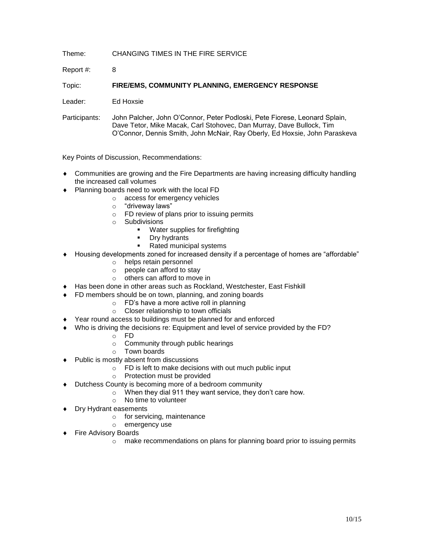Report #: 8

Topic: **FIRE/EMS, COMMUNITY PLANNING, EMERGENCY RESPONSE**

Leader: Ed Hoxsie

Participants: John Palcher, John O'Connor, Peter Podloski, Pete Fiorese, Leonard Splain, Dave Tetor, Mike Macak, Carl Stohovec, Dan Murray, Dave Bullock, Tim O'Connor, Dennis Smith, John McNair, Ray Oberly, Ed Hoxsie, John Paraskeva

Key Points of Discussion, Recommendations:

- Communities are growing and the Fire Departments are having increasing difficulty handling the increased call volumes
- ◆ Planning boards need to work with the local FD
	- o access for emergency vehicles
	- o "driveway laws"
	- o FD review of plans prior to issuing permits
	- o Subdivisions
		- **Water supplies for firefighting**
		- Dry hydrants
		- Rated municipal systems
- Housing developments zoned for increased density if a percentage of homes are "affordable"
	- o helps retain personnel
	- o people can afford to stay
	- $\circ$  others can afford to move in
- Has been done in other areas such as Rockland, Westchester, East Fishkill
- ◆ FD members should be on town, planning, and zoning boards
	- o FD's have a more active roll in planning
		- o Closer relationship to town officials
- Year round access to buildings must be planned for and enforced
- Who is driving the decisions re: Equipment and level of service provided by the FD?
	- o FD
	- o Community through public hearings
	- o Town boards
- Public is mostly absent from discussions
	- o FD is left to make decisions with out much public input
	- o Protection must be provided
- Dutchess County is becoming more of a bedroom community
	- o When they dial 911 they want service, they don't care how.
	- o No time to volunteer
- Dry Hydrant easements
	- o for servicing, maintenance
	- o emergency use
- Fire Advisory Boards
	- o make recommendations on plans for planning board prior to issuing permits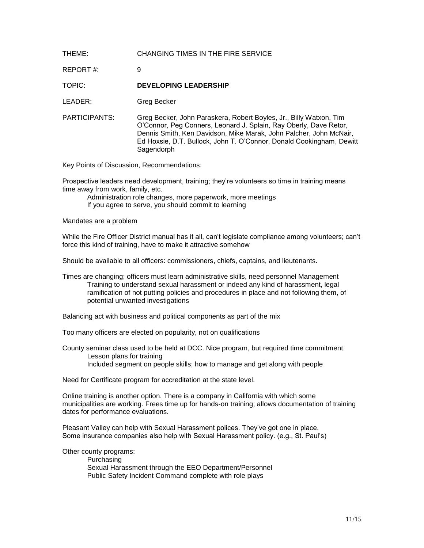| THEME:        | CHANGING TIMES IN THE FIRE SERVICE                                                                                                                                                                                                                                                                  |
|---------------|-----------------------------------------------------------------------------------------------------------------------------------------------------------------------------------------------------------------------------------------------------------------------------------------------------|
| REPORT#:      | 9                                                                                                                                                                                                                                                                                                   |
| TOPIC:        | <b>DEVELOPING LEADERSHIP</b>                                                                                                                                                                                                                                                                        |
| LEADER:       | Greg Becker                                                                                                                                                                                                                                                                                         |
| PARTICIPANTS: | Greg Becker, John Paraskera, Robert Boyles, Jr., Billy Watxon, Tim<br>O'Connor, Peg Conners, Leonard J. Splain, Ray Oberly, Dave Retor,<br>Dennis Smith, Ken Davidson, Mike Marak, John Palcher, John McNair,<br>Ed Hoxsie, D.T. Bullock, John T. O'Connor, Donald Cookingham, Dewitt<br>Sagendorph |

Key Points of Discussion, Recommendations:

Prospective leaders need development, training; they're volunteers so time in training means time away from work, family, etc.

Administration role changes, more paperwork, more meetings If you agree to serve, you should commit to learning

Mandates are a problem

While the Fire Officer District manual has it all, can't legislate compliance among volunteers; can't force this kind of training, have to make it attractive somehow

Should be available to all officers: commissioners, chiefs, captains, and lieutenants.

Times are changing; officers must learn administrative skills, need personnel Management Training to understand sexual harassment or indeed any kind of harassment, legal ramification of not putting policies and procedures in place and not following them, of potential unwanted investigations

Balancing act with business and political components as part of the mix

Too many officers are elected on popularity, not on qualifications

County seminar class used to be held at DCC. Nice program, but required time commitment. Lesson plans for training Included segment on people skills; how to manage and get along with people

Need for Certificate program for accreditation at the state level.

Online training is another option. There is a company in California with which some municipalities are working. Frees time up for hands-on training; allows documentation of training dates for performance evaluations.

Pleasant Valley can help with Sexual Harassment polices. They've got one in place. Some insurance companies also help with Sexual Harassment policy. (e.g., St. Paul's)

Other county programs:

Purchasing Sexual Harassment through the EEO Department/Personnel Public Safety Incident Command complete with role plays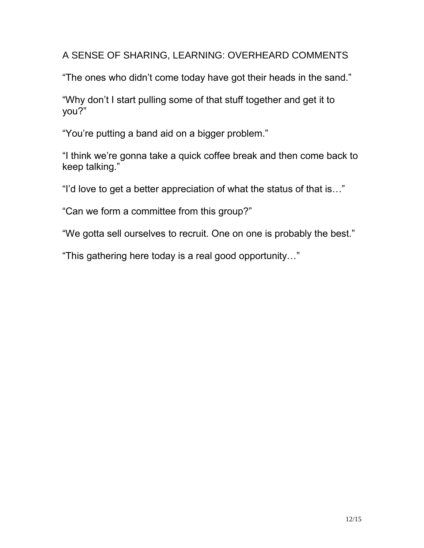A SENSE OF SHARING, LEARNING: OVERHEARD COMMENTS

"The ones who didn't come today have got their heads in the sand."

"Why don't I start pulling some of that stuff together and get it to you?"

"You're putting a band aid on a bigger problem."

"I think we're gonna take a quick coffee break and then come back to keep talking."

"I'd love to get a better appreciation of what the status of that is…"

"Can we form a committee from this group?"

"We gotta sell ourselves to recruit. One on one is probably the best."

"This gathering here today is a real good opportunity…"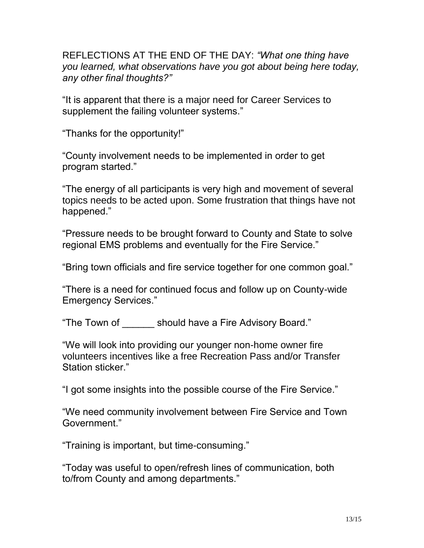REFLECTIONS AT THE END OF THE DAY: *"What one thing have you learned, what observations have you got about being here today, any other final thoughts?"*

"It is apparent that there is a major need for Career Services to supplement the failing volunteer systems."

"Thanks for the opportunity!"

"County involvement needs to be implemented in order to get program started."

"The energy of all participants is very high and movement of several topics needs to be acted upon. Some frustration that things have not happened."

"Pressure needs to be brought forward to County and State to solve regional EMS problems and eventually for the Fire Service."

"Bring town officials and fire service together for one common goal."

"There is a need for continued focus and follow up on County-wide Emergency Services."

"The Town of \_\_\_\_\_\_ should have a Fire Advisory Board."

"We will look into providing our younger non-home owner fire volunteers incentives like a free Recreation Pass and/or Transfer Station sticker."

"I got some insights into the possible course of the Fire Service."

"We need community involvement between Fire Service and Town Government."

"Training is important, but time-consuming."

"Today was useful to open/refresh lines of communication, both to/from County and among departments."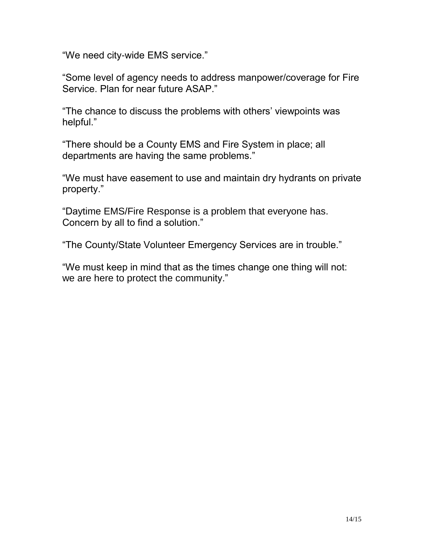"We need city-wide EMS service."

"Some level of agency needs to address manpower/coverage for Fire Service. Plan for near future ASAP."

"The chance to discuss the problems with others' viewpoints was helpful."

"There should be a County EMS and Fire System in place; all departments are having the same problems."

"We must have easement to use and maintain dry hydrants on private property."

"Daytime EMS/Fire Response is a problem that everyone has. Concern by all to find a solution."

"The County/State Volunteer Emergency Services are in trouble."

"We must keep in mind that as the times change one thing will not: we are here to protect the community."